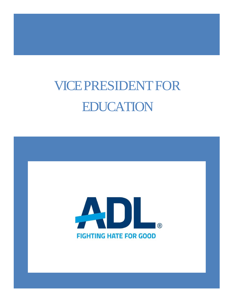# VICEPRESIDENTFOR EDUCATION

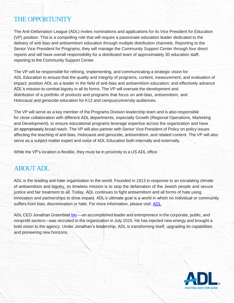## THE OPPORTUNITY

The Anti-Defamation League (ADL) invites nominations and applications for its Vice President for Education (VP) position. This is a compelling role that will require a passionate education leader dedicated to the delivery of anti-bias and antisemitism education through multiple distribution channels. Reporting to the Senior Vice President for Programs, they will manage the Community Support Center through four direct reports and will have overall responsibility for a distributed team of approximately 30 education staff, reporting to the Community Support Center.

The VP will be responsible for refining, implementing, and communicating a strategic vision for ADL Education to ensure that the quality and integrity of programs, content, measurement, and evaluation of impact; position ADL as a leader in the field of anti-bias and antisemitism education; and effectively advance ADL's mission to combat bigotry in all its forms. The VP will oversee the development and distribution of a portfolio of products and programs that focus on anti-bias, antisemitism, and Holocaust and genocide education for K12 and campus/university audiences.

The VP will serve as a key member of the Programs Division leadership team and is also responsible for close collaboration with different ADL departments, especially Growth (Regional Operations, Marketing and Development), to ensure educational programs leverage expertise across the organization and have an appropriately broad reach. The VP will also partner with Senior Vice President of Policy on policy issues affecting the teaching of anti-bias, Holocaust and genocide, antisemitism, and related content. The VP will also serve as a subject matter expert and voice of ADL Education both internally and externally.

While the VP's location is flexible, they must be in proximity to a US ADL office.

## ABOUTADL

ADL is the leading anti-hate organization in the world. Founded in 1913 in response to an escalating climate of antisemitism and bigotry, its timeless mission is to stop the defamation of the Jewish people and secure justice and fair treatment to all. Today, ADL continues to fight antisemitism and all forms of hate using innovation and partnerships to drive impact. ADL's ultimate goal is a world in which no individual or community suffers from bias, discrimination or hate. For more information, please visit: [ADL.](http://www.adl.org/)

ADL CEO Jonathan Greenblatt [bio](https://www.adl.org/jonathan_greenblatt) —an accomplished leader and entrepreneur in the corporate, public, and nonprofit sectors—was recruited to the organization in July 2015. He has injected new energy and brought a bold vision to the agency. Under Jonathan's leadership, ADL is transforming itself, upgrading its capabilities and pioneering new horizons.

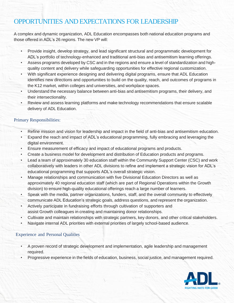# OPPORTUNITIES AND EXPECTATIONS FOR LEADERSHIP

A complex and dynamic organization, ADL Education encompasses both national education programs and those offered in ADL's 26 regions. The new VP will:

- Provide insight, develop strategy, and lead significant structural and programmatic development for ADL's portfolio of technology-enhanced and traditional anti-bias and antisemitism learning offerings.
- Assess programs developed by CSC and in the regions and ensure a level of standardization and highquality content and delivery while safeguarding opportunities for effective regional customization.
- With significant experience designing and delivering digital programs, ensure that ADL Education identifies new directions and opportunities to build on the quality, reach, and outcomes of programs in the K12 market, within colleges and universities, and workplace spaces.
- Understand the necessary balance between anti-bias and antisemitism programs, their delivery, and their intersectionality.
- Review and assess learning platforms and make technology recommendations that ensure scalable delivery of ADL Education.

#### Primary Responsibilities:

- Refine mission and vision for leadership and impact in the field of anti-bias and antisemitism education.
- Expand the reach and impact of ADL's educational programming, fully embracing and leveraging the digital environment.
- Ensure measurement of efficacy and impact of educational programs and products.
- Create a business model for development and distribution of Education products and programs.
- Lead a team of approximately 30 education staff within the Community Support Center (CSC) and work collaboratively with leaders in other ADL divisions to refine and implement a strategic vision for ADL's educational programming that supports ADL's overall strategic vision.
- Manage relationships and communication with five Divisional Education Directors as well as approximately 40 regional education staff (which are part of Regional Operations within the Growth division) to ensure high-quality educational offerings reach a large number of learners.
- Speak with the media, partner organizations, funders, staff, and the overall community to effectively communicate ADL Education's strategic goals, address questions, and represent the organization.
- Actively participate in fundraising efforts through cultivation of supporters and assist Growth colleagues in creating and maintaining donor relationships.
- Cultivate and maintain relationships with strategic partners, key donors, and other critical stakeholders.
- Navigate internal ADL priorities with external priorities of largely school-based audience.

#### Experience and Personal Qualities

- A proven record of strategic development and implementation, agile leadership and management required.
- Progressive experience in the fields of education, business, social justice, and management required.

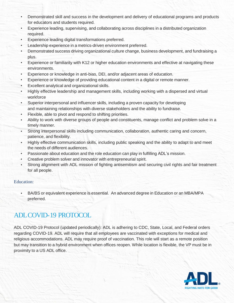- Demonstrated skill and success in the development and delivery of educational programs and products for educators and students required.
- Experience leading, supervising, and collaborating across disciplines in a distributed organization required.
- Experience leading digital transformations preferred.
- Leadership experience in a metrics-driven environment preferred.
- Demonstrated success driving organizational culture change, business development, and fundraising a plus.
- Experience or familiarity with K12 or higher education environments and effective at navigating these environments.
- Experience or knowledge in anti-bias, DEI, and/or adjacent areas of education.
- Experience or knowledge of providing educational content in a digital or remote manner.
- Excellent analytical and organizational skills.
- Highly effective leadership and management skills, including working with a dispersed and virtual workforce
- Superior interpersonal and influencer skills, including a proven capacity for developing and maintaining relationships with diverse stakeholders and the ability to fundraise.
- Flexible, able to pivot and respond to shifting priorities.
- Ability to work with diverse groups of people and constituents, manage conflict and problem solve in a timely manner.
- Strong interpersonal skills including communication, collaboration, authentic caring and concern, patience, and flexibility.
- Highly effective communication skills, including public speaking and the ability to adapt to and meet the needs of different audiences.
- Passionate about education and the role education can play in fulfilling ADL's mission.
- Creative problem solver and innovator with entrepreneurial spirit.
- Strong alignment with ADL mission of fighting antisemitism and securing civil rights and fair treatment for all people.

#### Education:

• BA/BS or equivalent experience is essential. An advanced degree in Education or an MBA/MPA preferred.

## ADLCOVID-19 PROTOCOL

ADL COVID-19 Protocol (updated periodically): ADL is adhering to CDC, State, Local, and Federal orders regarding COVID-19. ADL will require that all employees are vaccinated with exceptions for medical and religious accommodations. ADL may require proof of vaccination. This role will start as a remote position but may transition to a hybrid environment when offices reopen. While location is flexible, the VP must be in proximity to a US ADL office.